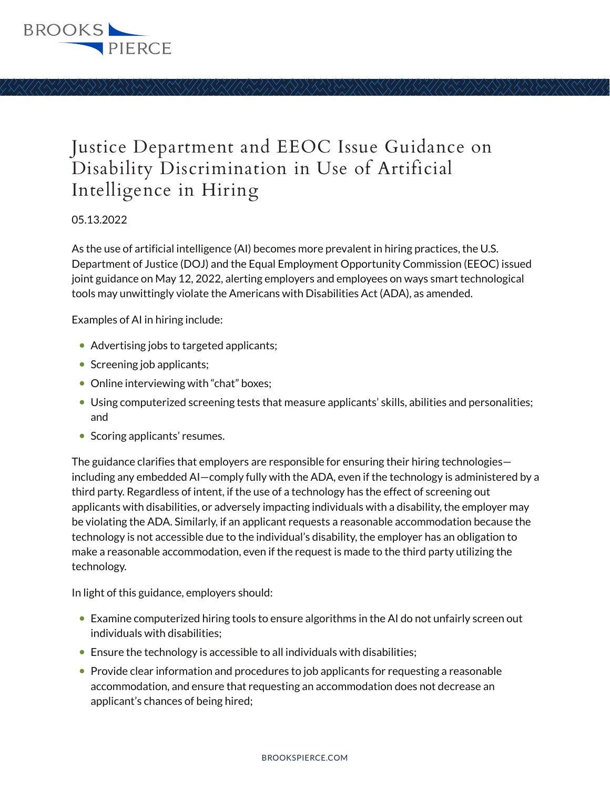

## Justice Department and EEOC Issue Guidance on Disability Discrimination in Use of Artificial Intelligence in Hiring

## 05.13.2022

As the use of artificial intelligence (AI) becomes more prevalent in hiring practices, the U.S. Department of Justice (DOJ) and the Equal Employment Opportunity Commission (EEOC) issued joint guidance on May 12, 2022, alerting employers and employees on ways smart technological tools may unwittingly violate the Americans with Disabilities Act (ADA), as amended.

Examples of AI in hiring include:

- Advertising jobs to targeted applicants;
- Screening job applicants;
- Online interviewing with "chat" boxes;
- Using computerized screening tests that measure applicants' skills, abilities and personalities; and
- Scoring applicants' resumes.

The guidance clarifies that employers are responsible for ensuring their hiring technologies including any embedded AI—comply fully with the ADA, even if the technology is administered by a third party. Regardless of intent, if the use of a technology has the effect of screening out applicants with disabilities, or adversely impacting individuals with a disability, the employer may be violating the ADA. Similarly, if an applicant requests a reasonable accommodation because the technology is not accessible due to the individual's disability, the employer has an obligation to make a reasonable accommodation, even if the request is made to the third party utilizing the technology.

In light of this guidance, employers should:

- Examine computerized hiring tools to ensure algorithms in the AI do not unfairly screen out individuals with disabilities;
- Ensure the technology is accessible to all individuals with disabilities;
- Provide clear information and procedures to job applicants for requesting a reasonable accommodation, and ensure that requesting an accommodation does not decrease an applicant's chances of being hired;